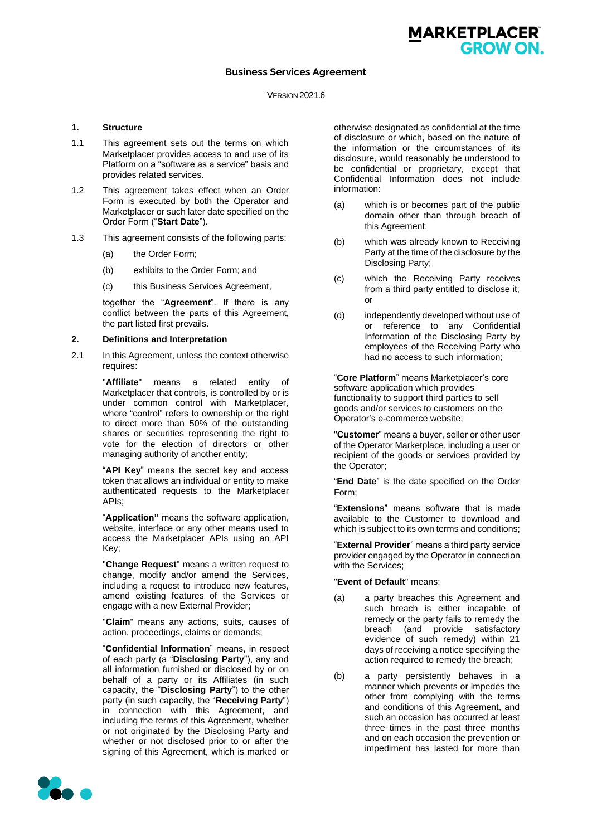# **Business Services Agreement**

#### VERSION 2021.6

#### **1. Structure**

- 1.1 This agreement sets out the terms on which Marketplacer provides access to and use of its Platform on a "software as a service" basis and provides related services.
- <span id="page-0-0"></span>1.2 This agreement takes effect when an Order Form is executed by both the Operator and Marketplacer or such later date specified on the Order Form ("**Start Date**").
- 1.3 This agreement consists of the following parts:
	- (a) the Order Form;
	- (b) exhibits to the Order Form; and
	- (c) this Business Services Agreement,

together the "**Agreement**". If there is any conflict between the parts of this Agreement, the part listed first prevails.

#### **2. Definitions and Interpretation**

2.1 In this Agreement, unless the context otherwise requires:

> "**Affiliate**" means a related entity of Marketplacer that controls, is controlled by or is under common control with Marketplacer, where "control" refers to ownership or the right to direct more than 50% of the outstanding shares or securities representing the right to vote for the election of directors or other managing authority of another entity;

> "**API Key**" means the secret key and access token that allows an individual or entity to make authenticated requests to the Marketplacer APIs;

> "**Application"** means the software application, website, interface or any other means used to access the Marketplacer APIs using an API Key;

> "**Change Request**" means a written request to change, modify and/or amend the Services, including a request to introduce new features, amend existing features of the Services or engage with a new External Provider;

> "**Claim**" means any actions, suits, causes of action, proceedings, claims or demands;

"**Confidential Information**" means, in respect of each party (a "**Disclosing Party**"), any and all information furnished or disclosed by or on behalf of a party or its Affiliates (in such capacity, the "**Disclosing Party**") to the other party (in such capacity, the "**Receiving Party**") in connection with this Agreement, and including the terms of this Agreement, whether or not originated by the Disclosing Party and whether or not disclosed prior to or after the signing of this Agreement, which is marked or

otherwise designated as confidential at the time of disclosure or which, based on the nature of the information or the circumstances of its disclosure, would reasonably be understood to be confidential or proprietary, except that Confidential Information does not include information:

MARKETPLACER®

GROW ON.

- (a) which is or becomes part of the public domain other than through breach of this Agreement;
- (b) which was already known to Receiving Party at the time of the disclosure by the Disclosing Party;
- (c) which the Receiving Party receives from a third party entitled to disclose it; or
- (d) independently developed without use of or reference to any Confidential Information of the Disclosing Party by employees of the Receiving Party who had no access to such information;

"**Core Platform**" means Marketplacer's core software application which provides functionality to support third parties to sell goods and/or services to customers on the Operator's e-commerce website;

"**Customer**" means a buyer, seller or other user of the Operator Marketplace, including a user or recipient of the goods or services provided by the Operator;

"**End Date**" is the date specified on the Order Form;

"**Extensions**" means software that is made available to the Customer to download and which is subject to its own terms and conditions;

"**External Provider**" means a third party service provider engaged by the Operator in connection with the Services;

#### "**Event of Default**" means:

- (a) a party breaches this Agreement and such breach is either incapable of remedy or the party fails to remedy the breach (and provide satisfactory evidence of such remedy) within 21 days of receiving a notice specifying the action required to remedy the breach;
- (b) a party persistently behaves in a manner which prevents or impedes the other from complying with the terms and conditions of this Agreement, and such an occasion has occurred at least three times in the past three months and on each occasion the prevention or impediment has lasted for more than

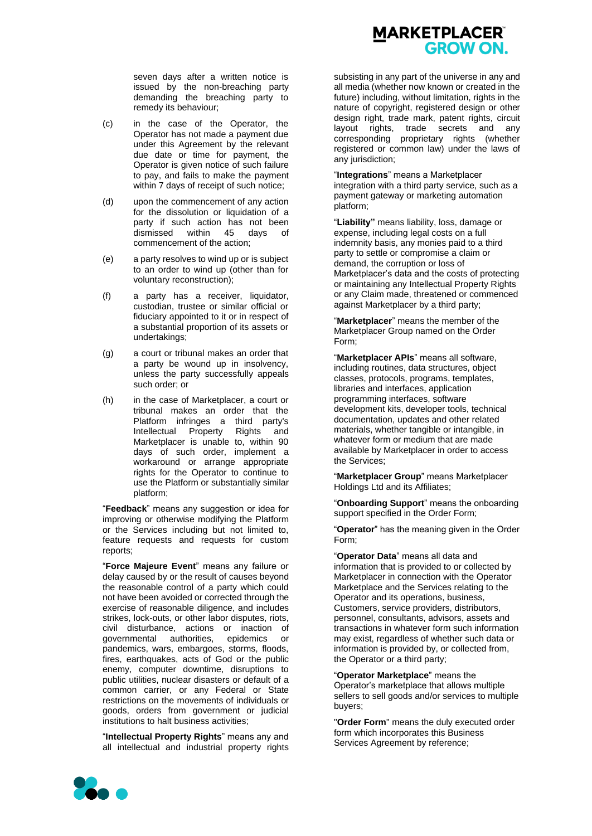# **MARKETPLACER®** GROW ON.

seven days after a written notice is issued by the non-breaching party demanding the breaching party to remedy its behaviour;

- (c) in the case of the Operator, the Operator has not made a payment due under this Agreement by the relevant due date or time for payment, the Operator is given notice of such failure to pay, and fails to make the payment within 7 days of receipt of such notice;
- (d) upon the commencement of any action for the dissolution or liquidation of a party if such action has not been dismissed within 45 days of commencement of the action;
- (e) a party resolves to wind up or is subject to an order to wind up (other than for voluntary reconstruction);
- (f) a party has a receiver, liquidator, custodian, trustee or similar official or fiduciary appointed to it or in respect of a substantial proportion of its assets or undertakings;
- (g) a court or tribunal makes an order that a party be wound up in insolvency, unless the party successfully appeals such order; or
- (h) in the case of Marketplacer, a court or tribunal makes an order that the Platform infringes a third party's Intellectual Property Rights and Marketplacer is unable to, within 90 days of such order, implement a workaround or arrange appropriate rights for the Operator to continue to use the Platform or substantially similar platform;

"**Feedback**" means any suggestion or idea for improving or otherwise modifying the Platform or the Services including but not limited to, feature requests and requests for custom reports;

"**Force Majeure Event**" means any failure or delay caused by or the result of causes beyond the reasonable control of a party which could not have been avoided or corrected through the exercise of reasonable diligence, and includes strikes, lock-outs, or other labor disputes, riots, civil disturbance, actions or inaction of governmental authorities, epidemics or pandemics, wars, embargoes, storms, floods, fires, earthquakes, acts of God or the public enemy, computer downtime, disruptions to public utilities, nuclear disasters or default of a common carrier, or any Federal or State restrictions on the movements of individuals or goods, orders from government or judicial institutions to halt business activities;

"**Intellectual Property Rights**" means any and all intellectual and industrial property rights

subsisting in any part of the universe in any and all media (whether now known or created in the future) including, without limitation, rights in the nature of copyright, registered design or other design right, trade mark, patent rights, circuit layout rights, trade secrets and any corresponding proprietary rights (whether registered or common law) under the laws of any jurisdiction;

"**Integrations**" means a Marketplacer integration with a third party service, such as a payment gateway or marketing automation platform;

"**Liability"** means liability, loss, damage or expense, including legal costs on a full indemnity basis, any monies paid to a third party to settle or compromise a claim or demand, the corruption or loss of Marketplacer's data and the costs of protecting or maintaining any Intellectual Property Rights or any Claim made, threatened or commenced against Marketplacer by a third party;

"**Marketplacer**" means the member of the Marketplacer Group named on the Order Form;

"**Marketplacer APIs**" means all software, including routines, data structures, object classes, protocols, programs, templates, libraries and interfaces, application programming interfaces, software development kits, developer tools, technical documentation, updates and other related materials, whether tangible or intangible, in whatever form or medium that are made available by Marketplacer in order to access the Services;

"**Marketplacer Group**" means Marketplacer Holdings Ltd and its Affiliates;

"**Onboarding Support**" means the onboarding support specified in the Order Form;

"**Operator**" has the meaning given in the Order Form;

"**Operator Data**" means all data and information that is provided to or collected by Marketplacer in connection with the Operator Marketplace and the Services relating to the Operator and its operations, business, Customers, service providers, distributors, personnel, consultants, advisors, assets and transactions in whatever form such information may exist, regardless of whether such data or information is provided by, or collected from, the Operator or a third party;

"**Operator Marketplace**" means the Operator's marketplace that allows multiple sellers to sell goods and/or services to multiple buyers;

"**Order Form**" means the duly executed order form which incorporates this Business Services Agreement by reference;

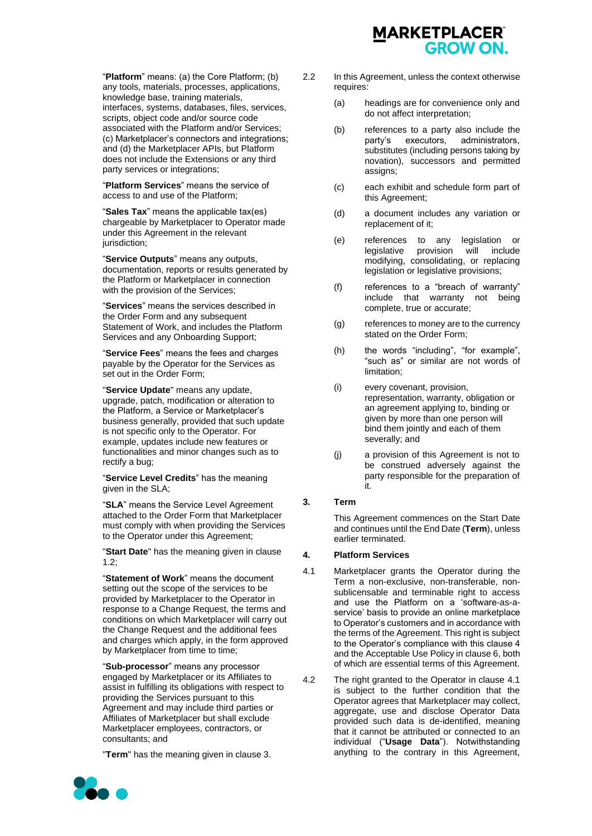

"**Platform**" means: (a) the Core Platform; (b) any tools, materials, processes, applications, knowledge base, training materials, interfaces, systems, databases, files, services, scripts, object code and/or source code associated with the Platform and/or Services; (c) Marketplacer's connectors and integrations; and (d) the Marketplacer APIs, but Platform does not include the Extensions or any third party services or integrations;

"**Platform Services**" means the service of access to and use of the Platform;

"**Sales Tax**" means the applicable tax(es) chargeable by Marketplacer to Operator made under this Agreement in the relevant jurisdiction;

"**Service Outputs**" means any outputs, documentation, reports or results generated by the Platform or Marketplacer in connection with the provision of the Services:

"**Services**" means the services described in the Order Form and any subsequent Statement of Work, and includes the Platform Services and any Onboarding Support;

"**Service Fees**" means the fees and charges payable by the Operator for the Services as set out in the Order Form;

"**Service Update**" means any update, upgrade, patch, modification or alteration to the Platform, a Service or Marketplacer's business generally, provided that such update is not specific only to the Operator. For example, updates include new features or functionalities and minor changes such as to rectify a bug;

"**Service Level Credits**" has the meaning given in the SLA;

"**SLA**" means the Service Level Agreement attached to the Order Form that Marketplacer must comply with when providing the Services to the Operator under this Agreement;

"**Start Date**" has the meaning given in clause [1.2;](#page-0-0)

"**Statement of Work**" means the document setting out the scope of the services to be provided by Marketplacer to the Operator in response to a Change Request, the terms and conditions on which Marketplacer will carry out the Change Request and the additional fees and charges which apply, in the form approved by Marketplacer from time to time;

"**Sub-processor**" means any processor engaged by Marketplacer or its Affiliates to assist in fulfilling its obligations with respect to providing the Services pursuant to this Agreement and may include third parties or Affiliates of Marketplacer but shall exclude Marketplacer employees, contractors, or consultants; and

"**Term**" has the meaning given in claus[e 3.](#page-2-0)

- 2.2 In this Agreement, unless the context otherwise requires:
	- (a) headings are for convenience only and do not affect interpretation;
	- (b) references to a party also include the party's executors, administrators, party's executors, administrators, substitutes (including persons taking by novation), successors and permitted assigns;
	- (c) each exhibit and schedule form part of this Agreement;
	- (d) a document includes any variation or replacement of it;
	- (e) references to any legislation or legislative provision will include modifying, consolidating, or replacing legislation or legislative provisions;
	- (f) references to a "breach of warranty" include that warranty not being complete, true or accurate;
	- (g) references to money are to the currency stated on the Order Form;
	- (h) the words "including", "for example", "such as" or similar are not words of limitation;
	- (i) every covenant, provision, representation, warranty, obligation or an agreement applying to, binding or given by more than one person will bind them jointly and each of them severally; and
	- (j) a provision of this Agreement is not to be construed adversely against the party responsible for the preparation of it.

## <span id="page-2-0"></span>**3. Term**

This Agreement commences on the Start Date and continues until the End Date (**Term**), unless earlier terminated.

## **4. Platform Services**

- <span id="page-2-1"></span>4.1 Marketplacer grants the Operator during the Term a non-exclusive, non-transferable, nonsublicensable and terminable right to access and use the Platform on a 'software-as-aservice' basis to provide an online marketplace to Operator's customers and in accordance with the terms of the Agreement. This right is subject to the Operator's compliance with this clause 4 and the Acceptable Use Policy in claus[e 6,](#page-4-0) both of which are essential terms of this Agreement.
- <span id="page-2-2"></span>4.2 The right granted to the Operator in clause [4.1](#page-2-1) is subject to the further condition that the Operator agrees that Marketplacer may collect, aggregate, use and disclose Operator Data provided such data is de-identified, meaning that it cannot be attributed or connected to an individual ("**Usage Data**"). Notwithstanding anything to the contrary in this Agreement,

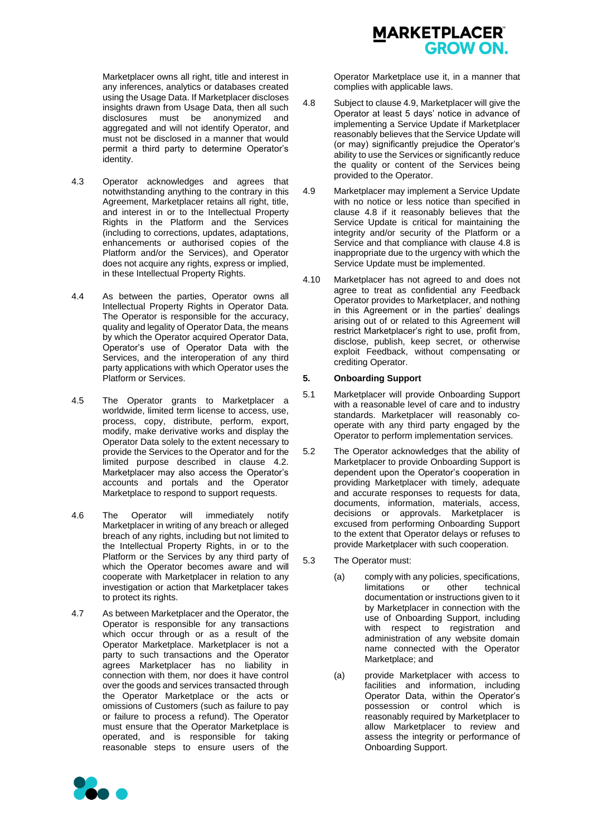Marketplacer owns all right, title and interest in any inferences, analytics or databases created using the Usage Data. If Marketplacer discloses insights drawn from Usage Data, then all such disclosures must be anonymized and aggregated and will not identify Operator, and must not be disclosed in a manner that would permit a third party to determine Operator's identity.

- 4.3 Operator acknowledges and agrees that notwithstanding anything to the contrary in this Agreement, Marketplacer retains all right, title, and interest in or to the Intellectual Property Rights in the Platform and the Services (including to corrections, updates, adaptations, enhancements or authorised copies of the Platform and/or the Services), and Operator does not acquire any rights, express or implied, in these Intellectual Property Rights.
- 4.4 As between the parties, Operator owns all Intellectual Property Rights in Operator Data. The Operator is responsible for the accuracy, quality and legality of Operator Data, the means by which the Operator acquired Operator Data, Operator's use of Operator Data with the Services, and the interoperation of any third party applications with which Operator uses the Platform or Services.
- 4.5 The Operator grants to Marketplacer a worldwide, limited term license to access, use, process, copy, distribute, perform, export, modify, make derivative works and display the Operator Data solely to the extent necessary to provide the Services to the Operator and for the limited purpose described in clause [4.2.](#page-2-2) Marketplacer may also access the Operator's accounts and portals and the Operator Marketplace to respond to support requests.
- 4.6 The Operator will immediately notify Marketplacer in writing of any breach or alleged breach of any rights, including but not limited to the Intellectual Property Rights, in or to the Platform or the Services by any third party of which the Operator becomes aware and will cooperate with Marketplacer in relation to any investigation or action that Marketplacer takes to protect its rights.
- 4.7 As between Marketplacer and the Operator, the Operator is responsible for any transactions which occur through or as a result of the Operator Marketplace. Marketplacer is not a party to such transactions and the Operator agrees Marketplacer has no liability in connection with them, nor does it have control over the goods and services transacted through the Operator Marketplace or the acts or omissions of Customers (such as failure to pay or failure to process a refund). The Operator must ensure that the Operator Marketplace is operated, and is responsible for taking reasonable steps to ensure users of the



Operator Marketplace use it, in a manner that complies with applicable laws.

- <span id="page-3-1"></span>4.8 Subject to claus[e 4.9,](#page-3-0) Marketplacer will give the Operator at least 5 days' notice in advance of implementing a Service Update if Marketplacer reasonably believes that the Service Update will (or may) significantly prejudice the Operator's ability to use the Services or significantly reduce the quality or content of the Services being provided to the Operator.
- <span id="page-3-0"></span>4.9 Marketplacer may implement a Service Update with no notice or less notice than specified in clause [4.8](#page-3-1) if it reasonably believes that the Service Update is critical for maintaining the integrity and/or security of the Platform or a Service and that compliance with clause [4.8](#page-3-1) is inappropriate due to the urgency with which the Service Update must be implemented.
- 4.10 Marketplacer has not agreed to and does not agree to treat as confidential any Feedback Operator provides to Marketplacer, and nothing in this Agreement or in the parties' dealings arising out of or related to this Agreement will restrict Marketplacer's right to use, profit from, disclose, publish, keep secret, or otherwise exploit Feedback, without compensating or crediting Operator.

## **5. Onboarding Support**

- 5.1 Marketplacer will provide Onboarding Support with a reasonable level of care and to industry standards. Marketplacer will reasonably cooperate with any third party engaged by the Operator to perform implementation services.
- 5.2 The Operator acknowledges that the ability of Marketplacer to provide Onboarding Support is dependent upon the Operator's cooperation in providing Marketplacer with timely, adequate and accurate responses to requests for data, documents, information, materials, access, decisions or approvals. Marketplacer is excused from performing Onboarding Support to the extent that Operator delays or refuses to provide Marketplacer with such cooperation.
- 5.3 The Operator must:
	- (a) comply with any policies, specifications, limitations or other technical documentation or instructions given to it by Marketplacer in connection with the use of Onboarding Support, including with respect to registration and administration of any website domain name connected with the Operator Marketplace; and
	- (a) provide Marketplacer with access to facilities and information, including Operator Data, within the Operator's possession or control which is reasonably required by Marketplacer to allow Marketplacer to review and assess the integrity or performance of Onboarding Support.

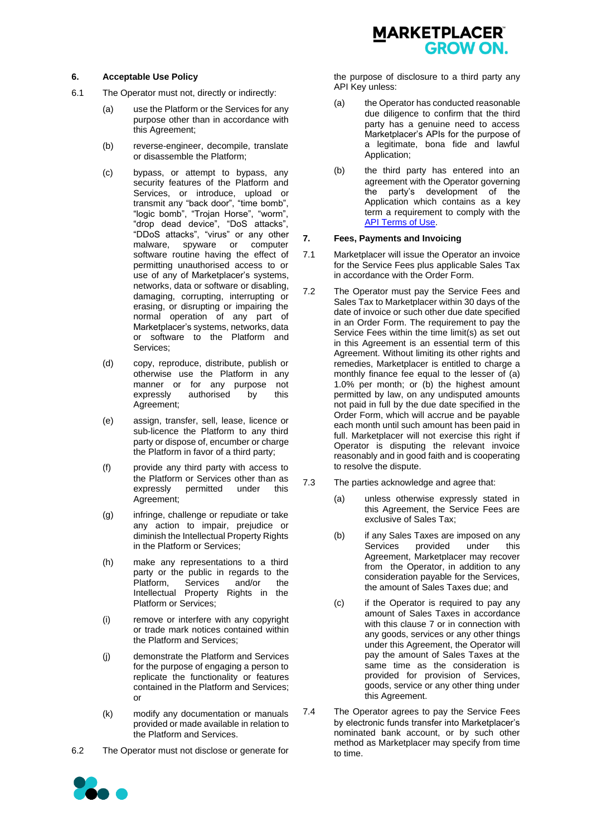#### <span id="page-4-0"></span>**6. Acceptable Use Policy**

- 6.1 The Operator must not, directly or indirectly:
	- (a) use the Platform or the Services for any purpose other than in accordance with this Agreement;
	- (b) reverse-engineer, decompile, translate or disassemble the Platform;
	- (c) bypass, or attempt to bypass, any security features of the Platform and Services, or introduce, upload or transmit any "back door", "time bomb", "logic bomb", "Trojan Horse", "worm", "drop dead device", "DoS attacks", "DDoS attacks", "virus" or any other malware, spyware or computer software routine having the effect of permitting unauthorised access to or use of any of Marketplacer's systems, networks, data or software or disabling, damaging, corrupting, interrupting or erasing, or disrupting or impairing the normal operation of any part of Marketplacer's systems, networks, data or software to the Platform and Services;
	- (d) copy, reproduce, distribute, publish or otherwise use the Platform in any manner or for any purpose not expressly authorised by this Agreement;
	- (e) assign, transfer, sell, lease, licence or sub-licence the Platform to any third party or dispose of, encumber or charge the Platform in favor of a third party;
	- (f) provide any third party with access to the Platform or Services other than as expressly permitted under this Agreement;
	- (g) infringe, challenge or repudiate or take any action to impair, prejudice or diminish the Intellectual Property Rights in the Platform or Services;
	- (h) make any representations to a third party or the public in regards to the Platform, Services and/or the Intellectual Property Rights in the Platform or Services;
	- (i) remove or interfere with any copyright or trade mark notices contained within the Platform and Services;
	- (j) demonstrate the Platform and Services for the purpose of engaging a person to replicate the functionality or features contained in the Platform and Services; or
	- (k) modify any documentation or manuals provided or made available in relation to the Platform and Services.
- 6.2 The Operator must not disclose or generate for



the purpose of disclosure to a third party any API Key unless:

- (a) the Operator has conducted reasonable due diligence to confirm that the third party has a genuine need to access Marketplacer's APIs for the purpose of a legitimate, bona fide and lawful Application;
- (b) the third party has entered into an agreement with the Operator governing the party's development of the Application which contains as a key term a requirement to comply with the [API Terms of Use.](https://marketplacer.com/legal)

#### <span id="page-4-1"></span>**7. Fees, Payments and Invoicing**

- 7.1 Marketplacer will issue the Operator an invoice for the Service Fees plus applicable Sales Tax in accordance with the Order Form.
- 7.2 The Operator must pay the Service Fees and Sales Tax to Marketplacer within 30 days of the date of invoice or such other due date specified in an Order Form. The requirement to pay the Service Fees within the time limit(s) as set out in this Agreement is an essential term of this Agreement. Without limiting its other rights and remedies, Marketplacer is entitled to charge a monthly finance fee equal to the lesser of (a) 1.0% per month; or (b) the highest amount permitted by law, on any undisputed amounts not paid in full by the due date specified in the Order Form, which will accrue and be payable each month until such amount has been paid in full. Marketplacer will not exercise this right if Operator is disputing the relevant invoice reasonably and in good faith and is cooperating to resolve the dispute.
- 7.3 The parties acknowledge and agree that:
	- (a) unless otherwise expressly stated in this Agreement, the Service Fees are exclusive of Sales Tax;
	- (b) if any Sales Taxes are imposed on any Services provided under this Agreement, Marketplacer may recover from the Operator, in addition to any consideration payable for the Services, the amount of Sales Taxes due; and
	- (c) if the Operator is required to pay any amount of Sales Taxes in accordance with this clause [7](#page-4-1) or in connection with any goods, services or any other things under this Agreement, the Operator will pay the amount of Sales Taxes at the same time as the consideration is provided for provision of Services, goods, service or any other thing under this Agreement.
- 7.4 The Operator agrees to pay the Service Fees by electronic funds transfer into Marketplacer's nominated bank account, or by such other method as Marketplacer may specify from time to time.

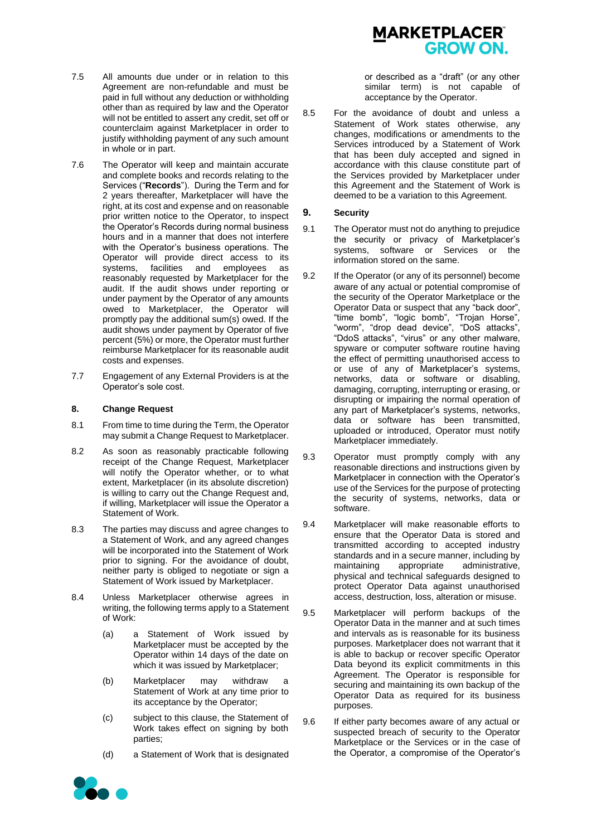

- 7.5 All amounts due under or in relation to this Agreement are non-refundable and must be paid in full without any deduction or withholding other than as required by law and the Operator will not be entitled to assert any credit, set off or counterclaim against Marketplacer in order to justify withholding payment of any such amount in whole or in part.
- 7.6 The Operator will keep and maintain accurate and complete books and records relating to the Services ("**Records**"). During the Term and for 2 years thereafter, Marketplacer will have the right, at its cost and expense and on reasonable prior written notice to the Operator, to inspect the Operator's Records during normal business hours and in a manner that does not interfere with the Operator's business operations. The Operator will provide direct access to its systems, facilities and employees as reasonably requested by Marketplacer for the audit. If the audit shows under reporting or under payment by the Operator of any amounts owed to Marketplacer, the Operator will promptly pay the additional sum(s) owed. If the audit shows under payment by Operator of five percent (5%) or more, the Operator must further reimburse Marketplacer for its reasonable audit costs and expenses.
- 7.7 Engagement of any External Providers is at the Operator's sole cost.

#### **8. Change Request**

- 8.1 From time to time during the Term, the Operator may submit a Change Request to Marketplacer.
- 8.2 As soon as reasonably practicable following receipt of the Change Request, Marketplacer will notify the Operator whether, or to what extent, Marketplacer (in its absolute discretion) is willing to carry out the Change Request and, if willing, Marketplacer will issue the Operator a Statement of Work.
- 8.3 The parties may discuss and agree changes to a Statement of Work, and any agreed changes will be incorporated into the Statement of Work prior to signing. For the avoidance of doubt, neither party is obliged to negotiate or sign a Statement of Work issued by Marketplacer.
- 8.4 Unless Marketplacer otherwise agrees in writing, the following terms apply to a Statement of Work:
	- (a) a Statement of Work issued by Marketplacer must be accepted by the Operator within 14 days of the date on which it was issued by Marketplacer;
	- (b) Marketplacer may withdraw a Statement of Work at any time prior to its acceptance by the Operator;
	- (c) subject to this clause, the Statement of Work takes effect on signing by both parties;
	- (d) a Statement of Work that is designated

or described as a "draft" (or any other similar term) is not capable of acceptance by the Operator.

8.5 For the avoidance of doubt and unless a Statement of Work states otherwise, any changes, modifications or amendments to the Services introduced by a Statement of Work that has been duly accepted and signed in accordance with this clause constitute part of the Services provided by Marketplacer under this Agreement and the Statement of Work is deemed to be a variation to this Agreement.

#### **9. Security**

- 9.1 The Operator must not do anything to prejudice the security or privacy of Marketplacer's systems, software or Services or the information stored on the same.
- 9.2 If the Operator (or any of its personnel) become aware of any actual or potential compromise of the security of the Operator Marketplace or the Operator Data or suspect that any "back door", "time bomb", "logic bomb", "Trojan Horse", "worm", "drop dead device", "DoS attacks", "DdoS attacks", "virus" or any other malware, spyware or computer software routine having the effect of permitting unauthorised access to or use of any of Marketplacer's systems, networks, data or software or disabling, damaging, corrupting, interrupting or erasing, or disrupting or impairing the normal operation of any part of Marketplacer's systems, networks, data or software has been transmitted, uploaded or introduced, Operator must notify Marketplacer immediately.
- 9.3 Operator must promptly comply with any reasonable directions and instructions given by Marketplacer in connection with the Operator's use of the Services for the purpose of protecting the security of systems, networks, data or software.
- 9.4 Marketplacer will make reasonable efforts to ensure that the Operator Data is stored and transmitted according to accepted industry standards and in a secure manner, including by maintaining appropriate administrative, physical and technical safeguards designed to protect Operator Data against unauthorised access, destruction, loss, alteration or misuse.
- 9.5 Marketplacer will perform backups of the Operator Data in the manner and at such times and intervals as is reasonable for its business purposes. Marketplacer does not warrant that it is able to backup or recover specific Operator Data beyond its explicit commitments in this Agreement. The Operator is responsible for securing and maintaining its own backup of the Operator Data as required for its business purposes.
- 9.6 If either party becomes aware of any actual or suspected breach of security to the Operator Marketplace or the Services or in the case of the Operator, a compromise of the Operator's

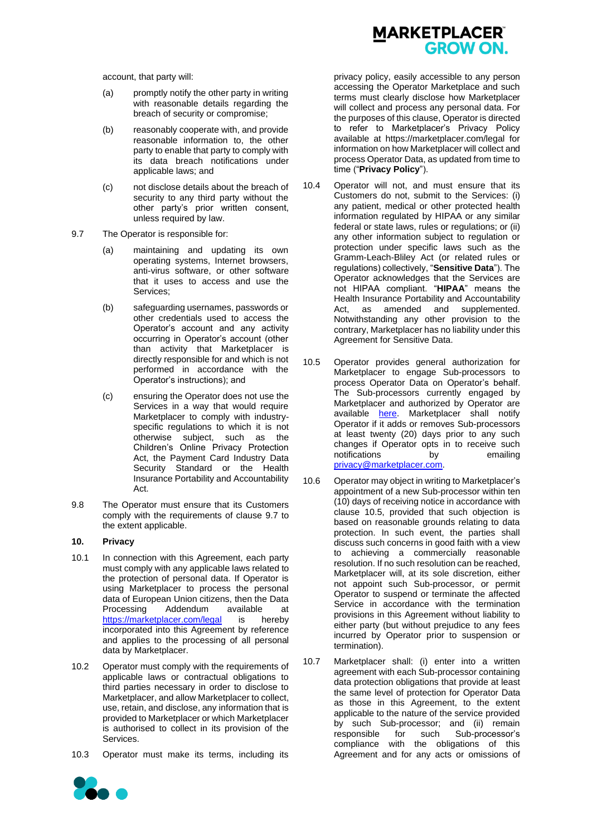account, that party will:

- (a) promptly notify the other party in writing with reasonable details regarding the breach of security or compromise;
- (b) reasonably cooperate with, and provide reasonable information to, the other party to enable that party to comply with its data breach notifications under applicable laws; and
- (c) not disclose details about the breach of security to any third party without the other party's prior written consent, unless required by law.
- <span id="page-6-0"></span>9.7 The Operator is responsible for:
	- (a) maintaining and updating its own operating systems, Internet browsers, anti-virus software, or other software that it uses to access and use the Services;
	- (b) safeguarding usernames, passwords or other credentials used to access the Operator's account and any activity occurring in Operator's account (other than activity that Marketplacer is directly responsible for and which is not performed in accordance with the Operator's instructions); and
	- (c) ensuring the Operator does not use the Services in a way that would require Marketplacer to comply with industryspecific regulations to which it is not otherwise subject, such as the Children's Online Privacy Protection Act, the Payment Card Industry Data Security Standard or the Health Insurance Portability and Accountability Act.
- 9.8 The Operator must ensure that its Customers comply with the requirements of clause [9.7](#page-6-0) to the extent applicable.

# **10. Privacy**

- 10.1 In connection with this Agreement, each party must comply with any applicable laws related to the protection of personal data. If Operator is using Marketplacer to process the personal data of European Union citizens, then the Data Processing Addendum available at <https://marketplacer.com/legal> is hereby incorporated into this Agreement by reference and applies to the processing of all personal data by Marketplacer.
- 10.2 Operator must comply with the requirements of applicable laws or contractual obligations to third parties necessary in order to disclose to Marketplacer, and allow Marketplacer to collect, use, retain, and disclose, any information that is provided to Marketplacer or which Marketplacer is authorised to collect in its provision of the Services.
- 10.3 Operator must make its terms, including its



privacy policy, easily accessible to any person accessing the Operator Marketplace and such terms must clearly disclose how Marketplacer will collect and process any personal data. For the purposes of this clause, Operator is directed to refer to Marketplacer's Privacy Policy available at https://marketplacer.com/legal for information on how Marketplacer will collect and process Operator Data, as updated from time to time ("**Privacy Policy**").

- 10.4 Operator will not, and must ensure that its Customers do not, submit to the Services: (i) any patient, medical or other protected health information regulated by HIPAA or any similar federal or state laws, rules or regulations; or (ii) any other information subject to regulation or protection under specific laws such as the Gramm-Leach-Bliley Act (or related rules or regulations) collectively, "**Sensitive Data**"). The Operator acknowledges that the Services are not HIPAA compliant. "**HIPAA**" means the Health Insurance Portability and Accountability Act, as amended and supplemented. Notwithstanding any other provision to the contrary, Marketplacer has no liability under this Agreement for Sensitive Data.
- 10.5 Operator provides general authorization for Marketplacer to engage Sub-processors to process Operator Data on Operator's behalf. The Sub-processors currently engaged by Marketplacer and authorized by Operator are available [here.](http://marketplacer.com/legal) Marketplacer shall notify Operator if it adds or removes Sub-processors at least twenty (20) days prior to any such changes if Operator opts in to receive such notifications by emailing [privacy@marketplacer.com.](mailto:privacy@marketplacer.com)
- 10.6 Operator may object in writing to Marketplacer's appointment of a new Sub-processor within ten (10) days of receiving notice in accordance with clause 10.5, provided that such objection is based on reasonable grounds relating to data protection. In such event, the parties shall discuss such concerns in good faith with a view to achieving a commercially reasonable resolution. If no such resolution can be reached, Marketplacer will, at its sole discretion, either not appoint such Sub-processor, or permit Operator to suspend or terminate the affected Service in accordance with the termination provisions in this Agreement without liability to either party (but without prejudice to any fees incurred by Operator prior to suspension or termination).
- 10.7 Marketplacer shall: (i) enter into a written agreement with each Sub-processor containing data protection obligations that provide at least the same level of protection for Operator Data as those in this Agreement, to the extent applicable to the nature of the service provided by such Sub-processor; and (ii) remain responsible for such Sub-processor's compliance with the obligations of this Agreement and for any acts or omissions of

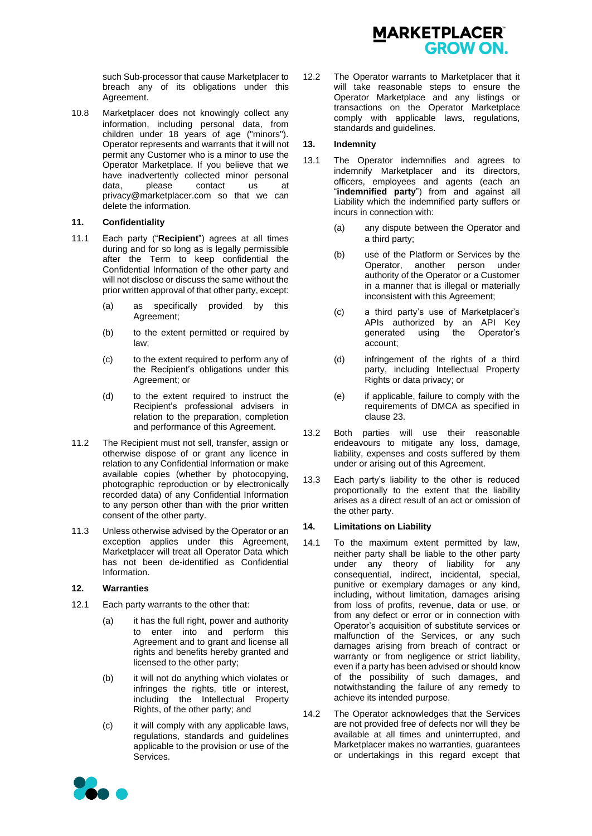

such Sub-processor that cause Marketplacer to breach any of its obligations under this Agreement.

10.8 Marketplacer does not knowingly collect any information, including personal data, from children under 18 years of age ("minors"). Operator represents and warrants that it will not permit any Customer who is a minor to use the Operator Marketplace. If you believe that we have inadvertently collected minor personal data, please contact us at privacy@marketplacer.com so that we can delete the information.

#### **11. Confidentiality**

- 11.1 Each party ("**Recipient**") agrees at all times during and for so long as is legally permissible after the Term to keep confidential the Confidential Information of the other party and will not disclose or discuss the same without the prior written approval of that other party, except:
	- (a) as specifically provided by this Agreement;
	- (b) to the extent permitted or required by law;
	- (c) to the extent required to perform any of the Recipient's obligations under this Agreement; or
	- (d) to the extent required to instruct the Recipient's professional advisers in relation to the preparation, completion and performance of this Agreement.
- 11.2 The Recipient must not sell, transfer, assign or otherwise dispose of or grant any licence in relation to any Confidential Information or make available copies (whether by photocopying, photographic reproduction or by electronically recorded data) of any Confidential Information to any person other than with the prior written consent of the other party.
- 11.3 Unless otherwise advised by the Operator or an exception applies under this Agreement, Marketplacer will treat all Operator Data which has not been de-identified as Confidential Information.

#### **12. Warranties**

- 12.1 Each party warrants to the other that:
	- (a) it has the full right, power and authority to enter into and perform this Agreement and to grant and license all rights and benefits hereby granted and licensed to the other party;
	- (b) it will not do anything which violates or infringes the rights, title or interest, including the Intellectual Property Rights, of the other party; and
	- (c) it will comply with any applicable laws, regulations, standards and guidelines applicable to the provision or use of the Services.

12.2 The Operator warrants to Marketplacer that it will take reasonable steps to ensure the Operator Marketplace and any listings or transactions on the Operator Marketplace comply with applicable laws, regulations, standards and guidelines.

## **13. Indemnity**

- 13.1 The Operator indemnifies and agrees to indemnify Marketplacer and its directors, officers, employees and agents (each an "**indemnified party**") from and against all Liability which the indemnified party suffers or incurs in connection with:
	- (a) any dispute between the Operator and a third party;
	- (b) use of the Platform or Services by the Operator, another person under authority of the Operator or a Customer in a manner that is illegal or materially inconsistent with this Agreement;
	- (c) a third party's use of Marketplacer's APIs authorized by an API Key<br>generated using the Operator's using the Operator's account;
	- (d) infringement of the rights of a third party, including Intellectual Property Rights or data privacy; or
	- (e) if applicable, failure to comply with the requirements of DMCA as specified in claus[e 23.](#page-10-0)
- 13.2 Both parties will use their reasonable endeavours to mitigate any loss, damage, liability, expenses and costs suffered by them under or arising out of this Agreement.
- 13.3 Each party's liability to the other is reduced proportionally to the extent that the liability arises as a direct result of an act or omission of the other party.

#### <span id="page-7-0"></span>**14. Limitations on Liability**

- <span id="page-7-1"></span>14.1 To the maximum extent permitted by law, neither party shall be liable to the other party under any theory of liability for any consequential, indirect, incidental, special, punitive or exemplary damages or any kind, including, without limitation, damages arising from loss of profits, revenue, data or use, or from any defect or error or in connection with Operator's acquisition of substitute services or malfunction of the Services, or any such damages arising from breach of contract or warranty or from negligence or strict liability, even if a party has been advised or should know of the possibility of such damages, and notwithstanding the failure of any remedy to achieve its intended purpose.
- 14.2 The Operator acknowledges that the Services are not provided free of defects nor will they be available at all times and uninterrupted, and Marketplacer makes no warranties, guarantees or undertakings in this regard except that

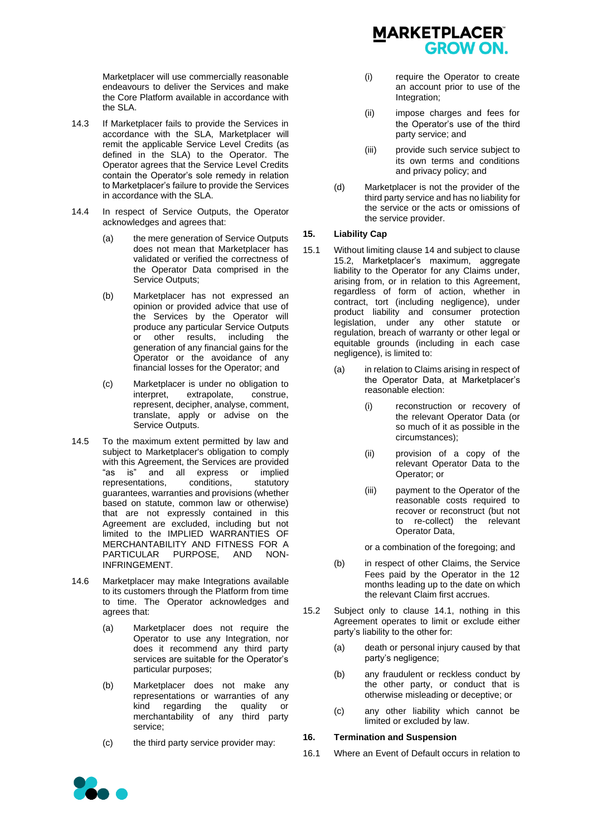Marketplacer will use commercially reasonable endeavours to deliver the Services and make the Core Platform available in accordance with the SLA.

- 14.3 If Marketplacer fails to provide the Services in accordance with the SLA, Marketplacer will remit the applicable Service Level Credits (as defined in the SLA) to the Operator. The Operator agrees that the Service Level Credits contain the Operator's sole remedy in relation to Marketplacer's failure to provide the Services in accordance with the SLA.
- 14.4 In respect of Service Outputs, the Operator acknowledges and agrees that:
	- (a) the mere generation of Service Outputs does not mean that Marketplacer has validated or verified the correctness of the Operator Data comprised in the Service Outputs:
	- (b) Marketplacer has not expressed an opinion or provided advice that use of the Services by the Operator will produce any particular Service Outputs or other results, including the generation of any financial gains for the Operator or the avoidance of any financial losses for the Operator; and
	- (c) Marketplacer is under no obligation to interpret, extrapolate, construe, represent, decipher, analyse, comment, translate, apply or advise on the Service Outputs.
- 14.5 To the maximum extent permitted by law and subject to Marketplacer's obligation to comply with this Agreement, the Services are provided "as is" and all express or implied<br>representations, conditions, statutory representations, conditions, statutory guarantees, warranties and provisions (whether based on statute, common law or otherwise) that are not expressly contained in this Agreement are excluded, including but not limited to the IMPLIED WARRANTIES OF MERCHANTABILITY AND FITNESS FOR A PARTICULAR PURPOSE, AND NON-INFRINGEMENT.
- 14.6 Marketplacer may make Integrations available to its customers through the Platform from time to time. The Operator acknowledges and agrees that:
	- (a) Marketplacer does not require the Operator to use any Integration, nor does it recommend any third party services are suitable for the Operator's particular purposes;
	- (b) Marketplacer does not make any representations or warranties of any<br>kind regarding the quality or regarding the quality or merchantability of any third party service;
	- (c) the third party service provider may:



- (i) require the Operator to create an account prior to use of the Integration;
- (ii) impose charges and fees for the Operator's use of the third party service; and
- (iii) provide such service subject to its own terms and conditions and privacy policy; and
- (d) Marketplacer is not the provider of the third party service and has no liability for the service or the acts or omissions of the service provider.

## **15. Liability Cap**

- 15.1 Without limiting claus[e 14](#page-7-0) and subject to clause [15.2,](#page-8-0) Marketplacer's maximum, aggregate liability to the Operator for any Claims under, arising from, or in relation to this Agreement, regardless of form of action, whether in contract, tort (including negligence), under product liability and consumer protection legislation, under any other statute or regulation, breach of warranty or other legal or equitable grounds (including in each case negligence), is limited to:
	- (a) in relation to Claims arising in respect of the Operator Data, at Marketplacer's reasonable election:
		- (i) reconstruction or recovery of the relevant Operator Data (or so much of it as possible in the circumstances);
		- (ii) provision of a copy of the relevant Operator Data to the Operator; or
		- (iii) payment to the Operator of the reasonable costs required to recover or reconstruct (but not to re-collect) the relevant Operator Data,

or a combination of the foregoing; and

- (b) in respect of other Claims, the Service Fees paid by the Operator in the 12 months leading up to the date on which the relevant Claim first accrues.
- <span id="page-8-0"></span>15.2 Subject only to clause [14.1,](#page-7-1) nothing in this Agreement operates to limit or exclude either party's liability to the other for:
	- (a) death or personal injury caused by that party's negligence;
	- (b) any fraudulent or reckless conduct by the other party, or conduct that is otherwise misleading or deceptive; or
	- (c) any other liability which cannot be limited or excluded by law.

#### **16. Termination and Suspension**

16.1 Where an Event of Default occurs in relation to

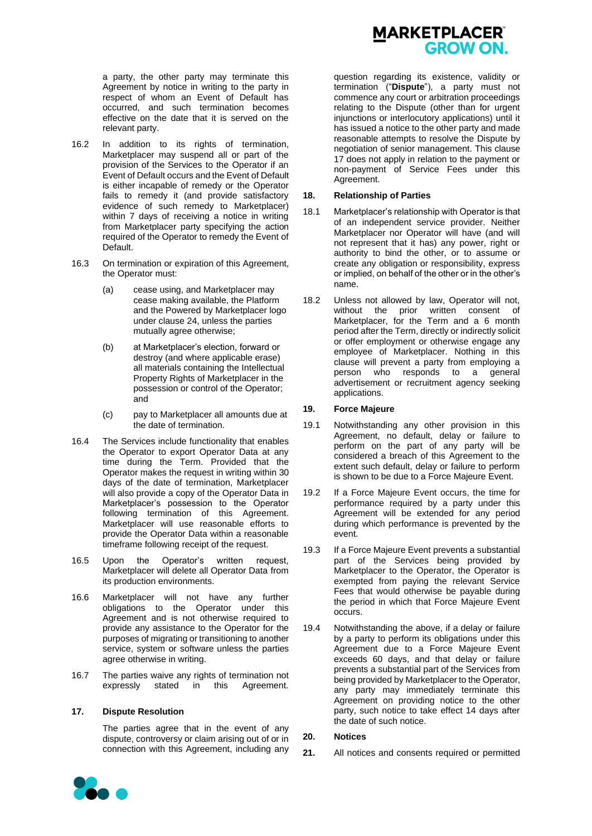a party, the other party may terminate this Agreement by notice in writing to the party in respect of whom an Event of Default has occurred, and such termination becomes effective on the date that it is served on the relevant party.

- 16.2 In addition to its rights of termination, Marketplacer may suspend all or part of the provision of the Services to the Operator if an Event of Default occurs and the Event of Default is either incapable of remedy or the Operator fails to remedy it (and provide satisfactory evidence of such remedy to Marketplacer) within 7 days of receiving a notice in writing from Marketplacer party specifying the action required of the Operator to remedy the Event of Default.
- 16.3 On termination or expiration of this Agreement, the Operator must:
	- (a) cease using, and Marketplacer may cease making available, the Platform and the Powered by Marketplacer logo under clause [24,](#page-10-1) unless the parties mutually agree otherwise;
	- (b) at Marketplacer's election, forward or destroy (and where applicable erase) all materials containing the Intellectual Property Rights of Marketplacer in the possession or control of the Operator; and
	- (c) pay to Marketplacer all amounts due at the date of termination.
- 16.4 The Services include functionality that enables the Operator to export Operator Data at any time during the Term. Provided that the Operator makes the request in writing within 30 days of the date of termination, Marketplacer will also provide a copy of the Operator Data in Marketplacer's possession to the Operator following termination of this Agreement. Marketplacer will use reasonable efforts to provide the Operator Data within a reasonable timeframe following receipt of the request.
- 16.5 Upon the Operator's written request, Marketplacer will delete all Operator Data from its production environments.
- 16.6 Marketplacer will not have any further obligations to the Operator under this Agreement and is not otherwise required to provide any assistance to the Operator for the purposes of migrating or transitioning to another service, system or software unless the parties agree otherwise in writing.
- 16.7 The parties waive any rights of termination not expressly stated in this Agreement.

#### <span id="page-9-0"></span>**17. Dispute Resolution**

The parties agree that in the event of any dispute, controversy or claim arising out of or in connection with this Agreement, including any



question regarding its existence, validity or termination ("**Dispute**"), a party must not commence any court or arbitration proceedings relating to the Dispute (other than for urgent injunctions or interlocutory applications) until it has issued a notice to the other party and made reasonable attempts to resolve the Dispute by negotiation of senior management. This clause [17](#page-9-0) does not apply in relation to the payment or non-payment of Service Fees under this Agreement.

#### **18. Relationship of Parties**

- 18.1 Marketplacer's relationship with Operator is that of an independent service provider. Neither Marketplacer nor Operator will have (and will not represent that it has) any power, right or authority to bind the other, or to assume or create any obligation or responsibility, express or implied, on behalf of the other or in the other's name.
- 18.2 Unless not allowed by law, Operator will not, without the prior written consent of Marketplacer, for the Term and a 6 month period after the Term, directly or indirectly solicit or offer employment or otherwise engage any employee of Marketplacer. Nothing in this clause will prevent a party from employing a person who responds to a general advertisement or recruitment agency seeking applications.

#### **19. Force Majeure**

- 19.1 Notwithstanding any other provision in this Agreement, no default, delay or failure to perform on the part of any party will be considered a breach of this Agreement to the extent such default, delay or failure to perform is shown to be due to a Force Majeure Event.
- 19.2 If a Force Majeure Event occurs, the time for performance required by a party under this Agreement will be extended for any period during which performance is prevented by the event.
- 19.3 If a Force Majeure Event prevents a substantial part of the Services being provided by Marketplacer to the Operator, the Operator is exempted from paying the relevant Service Fees that would otherwise be payable during the period in which that Force Majeure Event occurs.
- 19.4 Notwithstanding the above, if a delay or failure by a party to perform its obligations under this Agreement due to a Force Majeure Event exceeds 60 days, and that delay or failure prevents a substantial part of the Services from being provided by Marketplacer to the Operator, any party may immediately terminate this Agreement on providing notice to the other party, such notice to take effect 14 days after the date of such notice.

#### **20. Notices**

**21.** All notices and consents required or permitted

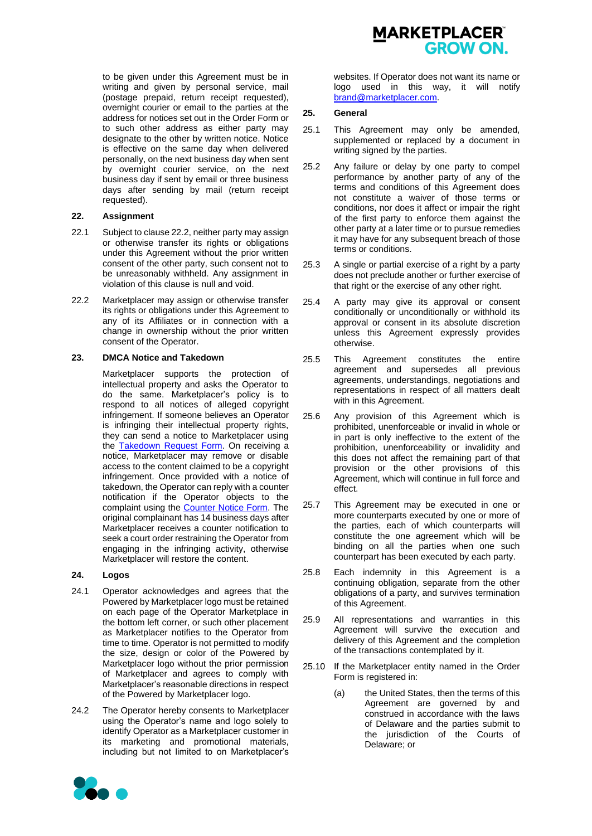

to be given under this Agreement must be in writing and given by personal service, mail (postage prepaid, return receipt requested), overnight courier or email to the parties at the address for notices set out in the Order Form or to such other address as either party may designate to the other by written notice. Notice is effective on the same day when delivered personally, on the next business day when sent by overnight courier service, on the next business day if sent by email or three business days after sending by mail (return receipt requested).

## **22. Assignment**

- 22.1 Subject to claus[e 22.2,](#page-10-2) neither party may assign or otherwise transfer its rights or obligations under this Agreement without the prior written consent of the other party, such consent not to be unreasonably withheld. Any assignment in violation of this clause is null and void.
- <span id="page-10-2"></span>22.2 Marketplacer may assign or otherwise transfer its rights or obligations under this Agreement to any of its Affiliates or in connection with a change in ownership without the prior written consent of the Operator.

#### <span id="page-10-0"></span>**23. DMCA Notice and Takedown**

Marketplacer supports the protection of intellectual property and asks the Operator to do the same. Marketplacer's policy is to respond to all notices of alleged copyright infringement. If someone believes an Operator is infringing their intellectual property rights, they can send a notice to Marketplacer using the [Takedown Request Form.](https://marketplacer.com/legal/dmca-notice/) On receiving a notice, Marketplacer may remove or disable access to the content claimed to be a copyright infringement. Once provided with a notice of takedown, the Operator can reply with a counter notification if the Operator objects to the complaint using the **Counter Notice Form**. The original complainant has 14 business days after Marketplacer receives a counter notification to seek a court order restraining the Operator from engaging in the infringing activity, otherwise Marketplacer will restore the content.

# <span id="page-10-1"></span>**24. Logos**

- 24.1 Operator acknowledges and agrees that the Powered by Marketplacer logo must be retained on each page of the Operator Marketplace in the bottom left corner, or such other placement as Marketplacer notifies to the Operator from time to time. Operator is not permitted to modify the size, design or color of the Powered by Marketplacer logo without the prior permission of Marketplacer and agrees to comply with Marketplacer's reasonable directions in respect of the Powered by Marketplacer logo.
- 24.2 The Operator hereby consents to Marketplacer using the Operator's name and logo solely to identify Operator as a Marketplacer customer in its marketing and promotional materials, including but not limited to on Marketplacer's



#### **25. General**

- 25.1 This Agreement may only be amended, supplemented or replaced by a document in writing signed by the parties.
- 25.2 Any failure or delay by one party to compel performance by another party of any of the terms and conditions of this Agreement does not constitute a waiver of those terms or conditions, nor does it affect or impair the right of the first party to enforce them against the other party at a later time or to pursue remedies it may have for any subsequent breach of those terms or conditions.
- 25.3 A single or partial exercise of a right by a party does not preclude another or further exercise of that right or the exercise of any other right.
- 25.4 A party may give its approval or consent conditionally or unconditionally or withhold its approval or consent in its absolute discretion unless this Agreement expressly provides otherwise.
- 25.5 This Agreement constitutes the entire agreement and supersedes all previous agreements, understandings, negotiations and representations in respect of all matters dealt with in this Agreement.
- 25.6 Any provision of this Agreement which is prohibited, unenforceable or invalid in whole or in part is only ineffective to the extent of the prohibition, unenforceability or invalidity and this does not affect the remaining part of that provision or the other provisions of this Agreement, which will continue in full force and effect.
- 25.7 This Agreement may be executed in one or more counterparts executed by one or more of the parties, each of which counterparts will constitute the one agreement which will be binding on all the parties when one such counterpart has been executed by each party.
- 25.8 Each indemnity in this Agreement is a continuing obligation, separate from the other obligations of a party, and survives termination of this Agreement.
- 25.9 All representations and warranties in this Agreement will survive the execution and delivery of this Agreement and the completion of the transactions contemplated by it.
- 25.10 If the Marketplacer entity named in the Order Form is registered in:
	- (a) the United States, then the terms of this Agreement are governed by and construed in accordance with the laws of Delaware and the parties submit to the jurisdiction of the Courts of Delaware; or